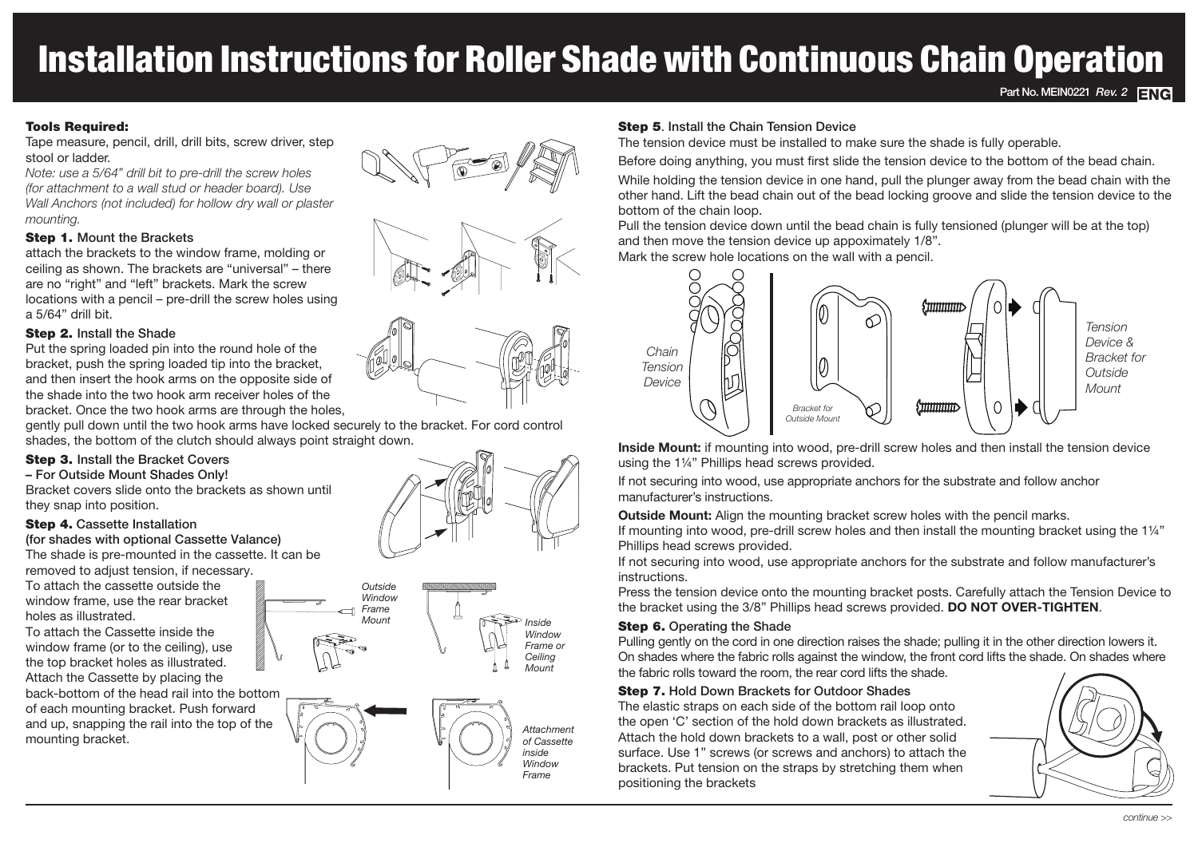# Installation Instructions for Roller Shade with Continuous Chain Operation

# Tools Required:

Tape measure, pencil, drill, drill bits, screw driver, step stool or ladder.

*Note: use a 5/64" drill bit to pre-drill the screw holes (for attachment to a wall stud or header board). Use Wall Anchors (not included) for hollow dry wall or plaster mounting.*

#### Step 1. Mount the Brackets

attach the brackets to the window frame, molding or ceiling as shown. The brackets are "universal" – there are no "right" and "left" brackets. Mark the screw locations with a pencil – pre-drill the screw holes using a 5/64" drill bit.

## Step 2. Install the Shade

Put the spring loaded pin into the round hole of the bracket, push the spring loaded tip into the bracket, and then insert the hook arms on the opposite side of the shade into the two hook arm receiver holes of the bracket. Once the two hook arms are through the holes,

gently pull down until the two hook arms have locked securely to the bracket. For cord control shades, the bottom of the clutch should always point straight down.

## Step 3. Install the Bracket Covers

– For Outside Mount Shades Only!

Bracket covers slide onto the brackets as shown until they snap into position.

## Step 4. Cassette Installation

(for shades with optional Cassette Valance) The shade is pre-mounted in the cassette. It can be removed to adjust tension, if necessary.

To attach the cassette outside the window frame, use the rear bracket holes as illustrated.

To attach the Cassette inside the window frame (or to the ceiling), use the top bracket holes as illustrated. Attach the Cassette by placing the back-bottom of the head rail into the bottom of each mounting bracket. Push forward and up, snapping the rail into the top of the mounting bracket.













# Step 5. Install the Chain Tension Device

The tension device must be installed to make sure the shade is fully operable.

Before doing anything, you must first slide the tension device to the bottom of the bead chain.

While holding the tension device in one hand, pull the plunger away from the bead chain with the other hand. Lift the bead chain out of the bead locking groove and slide the tension device to the bottom of the chain loop.

Pull the tension device down until the bead chain is fully tensioned (plunger will be at the top) and then move the tension device up appoximately 1/8".

Mark the screw hole locations on the wall with a pencil.



**Inside Mount:** if mounting into wood, pre-drill screw holes and then install the tension device using the 1¼" Phillips head screws provided.

If not securing into wood, use appropriate anchors for the substrate and follow anchor manufacturer's instructions.

**Outside Mount:** Align the mounting bracket screw holes with the pencil marks.

If mounting into wood, pre-drill screw holes and then install the mounting bracket using the 1¼" Phillips head screws provided.

If not securing into wood, use appropriate anchors for the substrate and follow manufacturer's instructions.

Press the tension device onto the mounting bracket posts. Carefully attach the Tension Device to the bracket using the 3/8" Phillips head screws provided. **DO NOT OVER-TIGHTEN**.

## **Step 6. Operating the Shade**

Pulling gently on the cord in one direction raises the shade; pulling it in the other direction lowers it. On shades where the fabric rolls against the window, the front cord lifts the shade. On shades where the fabric rolls toward the room, the rear cord lifts the shade.

# **Step 7.** Hold Down Brackets for Outdoor Shades

The elastic straps on each side of the bottom rail loop onto the open 'C' section of the hold down brackets as illustrated. Attach the hold down brackets to a wall, post or other solid surface. Use 1" screws (or screws and anchors) to attach the brackets. Put tension on the straps by stretching them when positioning the brackets